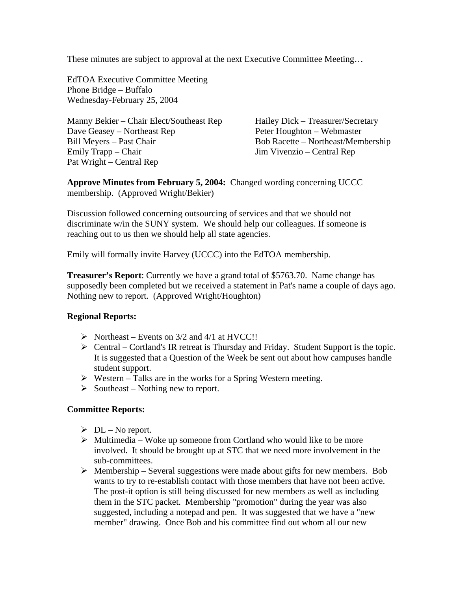These minutes are subject to approval at the next Executive Committee Meeting…

EdTOA Executive Committee Meeting Phone Bridge – Buffalo Wednesday-February 25, 2004

Manny Bekier – Chair Elect/Southeast Rep Hailey Dick – Treasurer/Secretary Dave Geasey – Northeast Rep Peter Houghton – Webmaster Bill Meyers – Past Chair Bob Racette – Northeast/Membership Emily Trapp – Chair Jim Vivenzio – Central Rep Pat Wright – Central Rep

**Approve Minutes from February 5, 2004:** Changed wording concerning UCCC membership. (Approved Wright/Bekier)

Discussion followed concerning outsourcing of services and that we should not discriminate w/in the SUNY system. We should help our colleagues. If someone is reaching out to us then we should help all state agencies.

Emily will formally invite Harvey (UCCC) into the EdTOA membership.

**Treasurer's Report**: Currently we have a grand total of \$5763.70. Name change has supposedly been completed but we received a statement in Pat's name a couple of days ago. Nothing new to report. (Approved Wright/Houghton)

## **Regional Reports:**

- $\triangleright$  Northeast Events on 3/2 and 4/1 at HVCC!!
- $\triangleright$  Central Cortland's IR retreat is Thursday and Friday. Student Support is the topic. It is suggested that a Question of the Week be sent out about how campuses handle student support.
- $\triangleright$  Western Talks are in the works for a Spring Western meeting.
- $\triangleright$  Southeast Nothing new to report.

## **Committee Reports:**

- $\triangleright$  DL No report.
- $\triangleright$  Multimedia Woke up someone from Cortland who would like to be more involved. It should be brought up at STC that we need more involvement in the sub-committees.
- $\triangleright$  Membership Several suggestions were made about gifts for new members. Bob wants to try to re-establish contact with those members that have not been active. The post-it option is still being discussed for new members as well as including them in the STC packet. Membership "promotion" during the year was also suggested, including a notepad and pen. It was suggested that we have a "new member" drawing. Once Bob and his committee find out whom all our new